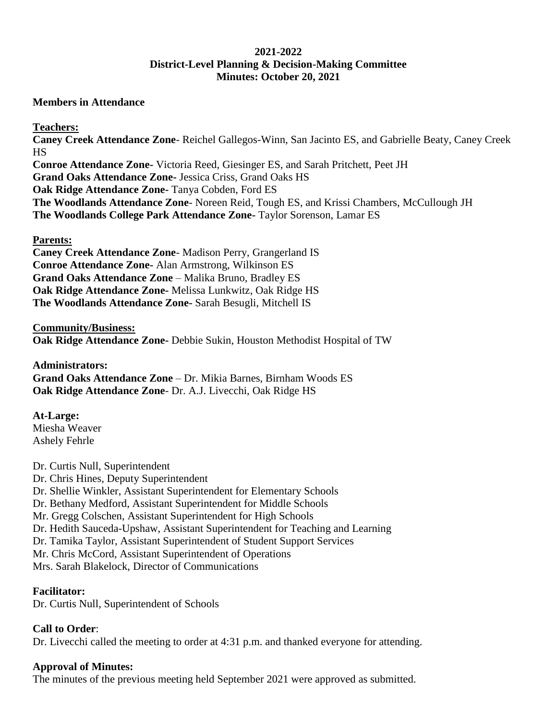# **2021-2022 District-Level Planning & Decision-Making Committee Minutes: October 20, 2021**

### **Members in Attendance**

### **Teachers:**

**Caney Creek Attendance Zone**- Reichel Gallegos-Winn, San Jacinto ES, and Gabrielle Beaty, Caney Creek HS **Conroe Attendance Zone-** Victoria Reed, Giesinger ES, and Sarah Pritchett, Peet JH **Grand Oaks Attendance Zone-** Jessica Criss, Grand Oaks HS **Oak Ridge Attendance Zone-** Tanya Cobden, Ford ES **The Woodlands Attendance Zone**- Noreen Reid, Tough ES, and Krissi Chambers, McCullough JH **The Woodlands College Park Attendance Zone-** Taylor Sorenson, Lamar ES

### **Parents:**

**Caney Creek Attendance Zone**- Madison Perry, Grangerland IS **Conroe Attendance Zone-** Alan Armstrong, Wilkinson ES **Grand Oaks Attendance Zone** – Malika Bruno, Bradley ES **Oak Ridge Attendance Zone-** Melissa Lunkwitz, Oak Ridge HS **The Woodlands Attendance Zone-** Sarah Besugli, Mitchell IS

#### **Community/Business: Oak Ridge Attendance Zone-** Debbie Sukin, Houston Methodist Hospital of TW

**Administrators: Grand Oaks Attendance Zone** – Dr. Mikia Barnes, Birnham Woods ES **Oak Ridge Attendance Zone**- Dr. A.J. Livecchi, Oak Ridge HS

# **At-Large:**

Miesha Weaver Ashely Fehrle

# Dr. Curtis Null, Superintendent

Dr. Chris Hines, Deputy Superintendent

Dr. Shellie Winkler, Assistant Superintendent for Elementary Schools

Dr. Bethany Medford, Assistant Superintendent for Middle Schools

Mr. Gregg Colschen, Assistant Superintendent for High Schools

Dr. Hedith Sauceda-Upshaw, Assistant Superintendent for Teaching and Learning

Dr. Tamika Taylor, Assistant Superintendent of Student Support Services

Mr. Chris McCord, Assistant Superintendent of Operations

Mrs. Sarah Blakelock, Director of Communications

# **Facilitator:**

Dr. Curtis Null, Superintendent of Schools

# **Call to Order**:

Dr. Livecchi called the meeting to order at 4:31 p.m. and thanked everyone for attending.

# **Approval of Minutes:**

The minutes of the previous meeting held September 2021 were approved as submitted.